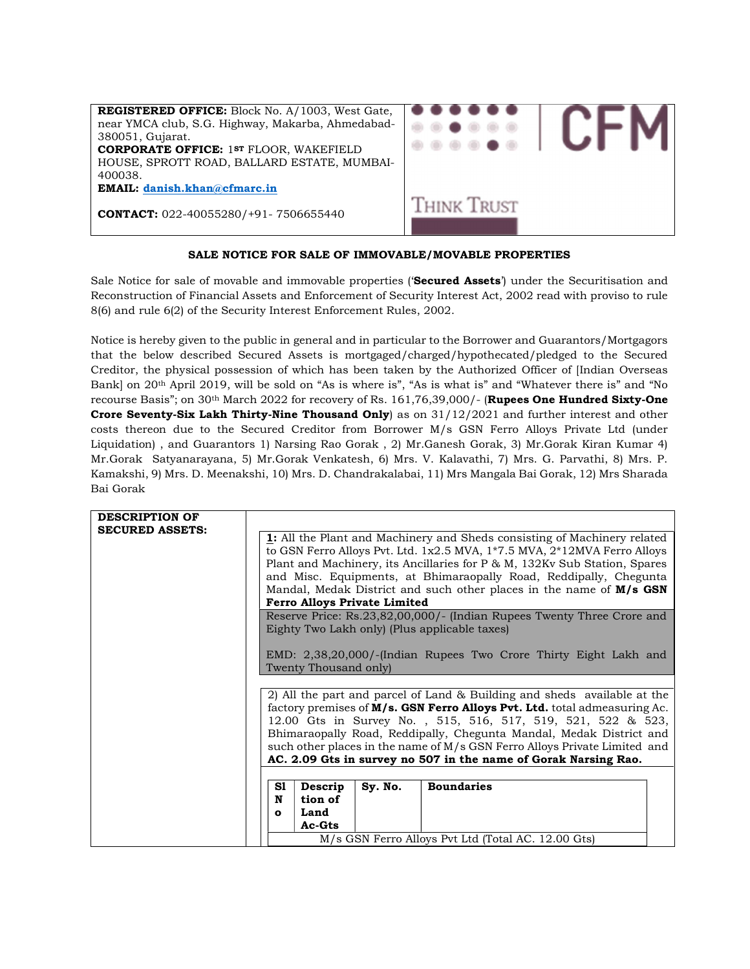

# SALE NOTICE FOR SALE OF IMMOVABLE/MOVABLE PROPERTIES

Sale Notice for sale of movable and immovable properties ('Secured Assets') under the Securitisation and Reconstruction of Financial Assets and Enforcement of Security Interest Act, 2002 read with proviso to rule 8(6) and rule 6(2) of the Security Interest Enforcement Rules, 2002.

Notice is hereby given to the public in general and in particular to the Borrower and Guarantors/Mortgagors that the below described Secured Assets is mortgaged/charged/hypothecated/pledged to the Secured Creditor, the physical possession of which has been taken by the Authorized Officer of [Indian Overseas Bank] on 20th April 2019, will be sold on "As is where is", "As is what is" and "Whatever there is" and "No recourse Basis"; on 30<sup>th</sup> March 2022 for recovery of Rs. 161,76,39,000/- (Rupees One Hundred Sixty-One Crore Seventy-Six Lakh Thirty-Nine Thousand Only) as on 31/12/2021 and further interest and other costs thereon due to the Secured Creditor from Borrower M/s GSN Ferro Alloys Private Ltd (under Liquidation) , and Guarantors 1) Narsing Rao Gorak , 2) Mr.Ganesh Gorak, 3) Mr.Gorak Kiran Kumar 4) Mr.Gorak Satyanarayana, 5) Mr.Gorak Venkatesh, 6) Mrs. V. Kalavathi, 7) Mrs. G. Parvathi, 8) Mrs. P. Kamakshi, 9) Mrs. D. Meenakshi, 10) Mrs. D. Chandrakalabai, 11) Mrs Mangala Bai Gorak, 12) Mrs Sharada Bai Gorak

| <b>DESCRIPTION OF</b><br><b>SECURED ASSETS:</b> | <b>1:</b> All the Plant and Machinery and Sheds consisting of Machinery related                                                                       |
|-------------------------------------------------|-------------------------------------------------------------------------------------------------------------------------------------------------------|
|                                                 | to GSN Ferro Alloys Pvt. Ltd. 1x2.5 MVA, 1*7.5 MVA, 2*12MVA Ferro Alloys<br>Plant and Machinery, its Ancillaries for P & M, 132Kv Sub Station, Spares |
|                                                 | and Misc. Equipments, at Bhimaraopally Road, Reddipally, Chegunta<br>Mandal, Medak District and such other places in the name of $M/s$ GSN            |
|                                                 | <b>Ferro Alloys Private Limited</b>                                                                                                                   |
|                                                 | Reserve Price: Rs.23,82,00,000/- (Indian Rupees Twenty Three Crore and                                                                                |
|                                                 | Eighty Two Lakh only) (Plus applicable taxes)                                                                                                         |
|                                                 | EMD: 2,38,20,000/-(Indian Rupees Two Crore Thirty Eight Lakh and<br>Twenty Thousand only)                                                             |
|                                                 |                                                                                                                                                       |
|                                                 | 2) All the part and parcel of Land & Building and sheds available at the                                                                              |
|                                                 | factory premises of M/s. GSN Ferro Alloys Pvt. Ltd. total admeasuring Ac.                                                                             |
|                                                 | 12.00 Gts in Survey No., 515, 516, 517, 519, 521, 522 & 523,                                                                                          |
|                                                 | Bhimaraopally Road, Reddipally, Chegunta Mandal, Medak District and                                                                                   |
|                                                 | such other places in the name of $M/s$ GSN Ferro Alloys Private Limited and                                                                           |
|                                                 | AC. 2.09 Gts in survey no 507 in the name of Gorak Narsing Rao.                                                                                       |
|                                                 |                                                                                                                                                       |
|                                                 | S1<br>Sy. No.<br><b>Boundaries</b><br>Descrip                                                                                                         |
|                                                 | tion of<br>N                                                                                                                                          |
|                                                 | Land<br>$\mathbf{o}$                                                                                                                                  |
|                                                 | Ac-Gts                                                                                                                                                |
|                                                 | M/s GSN Ferro Alloys Pvt Ltd (Total AC. 12.00 Gts)                                                                                                    |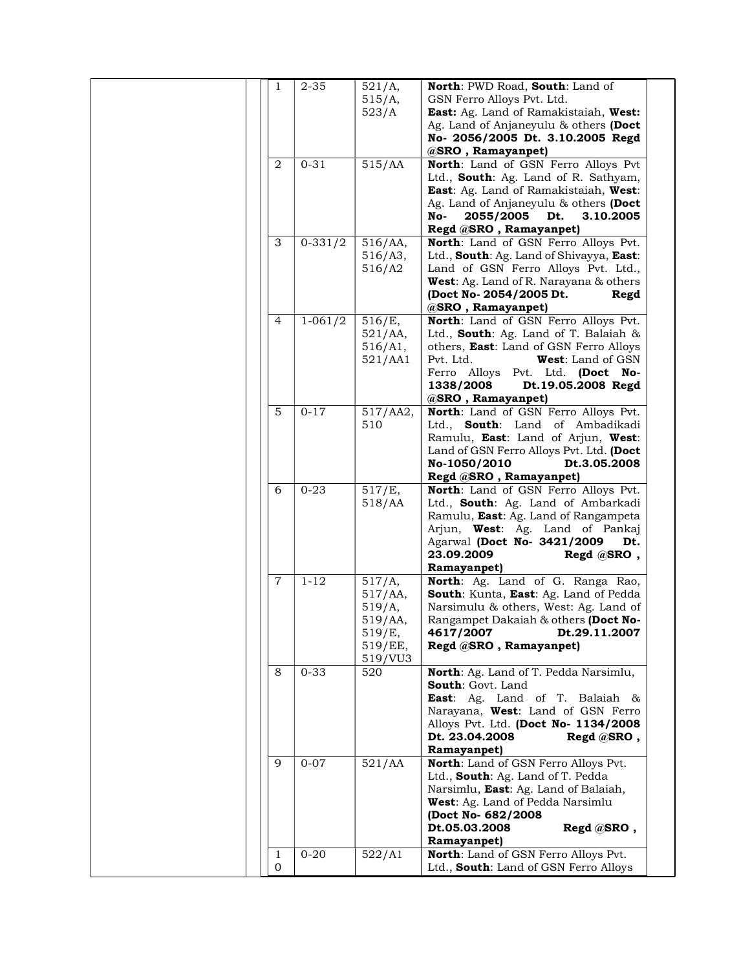| 1      | $2 - 35$    | 521/A,<br>515/A,<br>523/A                                                 | North: PWD Road, South: Land of<br>GSN Ferro Alloys Pvt. Ltd.<br>East: Ag. Land of Ramakistaiah, West:<br>Ag. Land of Anjaneyulu & others (Doct<br>No- 2056/2005 Dt. 3.10.2005 Regd<br>@SRO, Ramayanpet)                                                        |
|--------|-------------|---------------------------------------------------------------------------|-----------------------------------------------------------------------------------------------------------------------------------------------------------------------------------------------------------------------------------------------------------------|
| 2      | $0 - 31$    | 515/AA                                                                    | North: Land of GSN Ferro Alloys Pvt<br>Ltd., South: Ag. Land of R. Sathyam,<br><b>East:</b> Ag. Land of Ramakistaiah, West:<br>Ag. Land of Anjaneyulu & others (Doct<br>2055/2005<br>Dt.<br>3.10.2005<br>No-<br>Regd @SRO, Ramayanpet)                          |
| 3      | $0 - 331/2$ | $516/AA$ ,<br>516/A3,<br>516/A2                                           | North: Land of GSN Ferro Alloys Pvt.<br>Ltd., South: Ag. Land of Shivayya, East:<br>Land of GSN Ferro Alloys Pvt. Ltd.,<br>West: Ag. Land of R. Narayana & others<br>(Doct No- 2054/2005 Dt.<br>Regd<br>@SRO, Ramayanpet)                                       |
| 4      | $1 - 061/2$ | 516/E,<br>$521/AA$ ,<br>516/A1,<br>521/AA1                                | North: Land of GSN Ferro Alloys Pvt.<br>Ltd., South: Ag. Land of T. Balaiah &<br>others, East: Land of GSN Ferro Alloys<br>Pvt. Ltd.<br><b>West:</b> Land of GSN<br>Ferro Alloys<br>Pvt. Ltd. (Doct No-<br>1338/2008<br>Dt.19.05.2008 Regd<br>@SRO, Ramayanpet) |
| 5      | $0 - 17$    | 517/AA2,<br>510                                                           | North: Land of GSN Ferro Alloys Pvt.<br>South: Land of Ambadikadi<br>Ltd.,<br>Ramulu, East: Land of Arjun, West:<br>Land of GSN Ferro Alloys Pvt. Ltd. (Doct<br>No-1050/2010<br>Dt.3.05.2008<br>Regd @SRO, Ramayanpet)                                          |
| 6      | $0 - 23$    | 517/E,<br>518/AA                                                          | North: Land of GSN Ferro Alloys Pvt.<br>Ltd., South: Ag. Land of Ambarkadi<br>Ramulu, East: Ag. Land of Rangampeta<br>Arjun, West: Ag. Land of Pankaj<br>Agarwal (Doct No- 3421/2009<br>Dt.<br>23.09.2009<br>Regd @SRO,<br>Ramayanpet)                          |
| 7      | $1 - 12$    | 517/A,<br>$517/AA$ ,<br>519/A,<br>519/AA,<br>519/E,<br>519/EE,<br>519/VU3 | North: Ag. Land of G. Ranga Rao,<br>South: Kunta, East: Ag. Land of Pedda<br>Narsimulu & others, West: Ag. Land of<br>Rangampet Dakaiah & others (Doct No-<br>Dt.29.11.2007<br>4617/2007<br>Regd @SRO, Ramayanpet)                                              |
| 8      | $0 - 33$    | 520                                                                       | North: Ag. Land of T. Pedda Narsimlu,<br>South: Govt. Land<br>East: Ag. Land of T. Balaiah &<br>Narayana, West: Land of GSN Ferro<br>Alloys Pvt. Ltd. (Doct No- 1134/2008<br>Dt. 23.04.2008<br>$Regd$ @SRO,<br>Ramayanpet)                                      |
| 9      | $0 - 07$    | 521/AA                                                                    | North: Land of GSN Ferro Alloys Pvt.<br>Ltd., South: Ag. Land of T. Pedda<br>Narsimlu, East: Ag. Land of Balaiah,<br><b>West:</b> Ag. Land of Pedda Narsimlu<br>(Doct No- 682/2008<br>Dt.05.03.2008<br>Regd @SRO,<br>Ramayanpet)                                |
| 1<br>0 | $0 - 20$    | 522/A1                                                                    | North: Land of GSN Ferro Alloys Pvt.<br>Ltd., South: Land of GSN Ferro Alloys                                                                                                                                                                                   |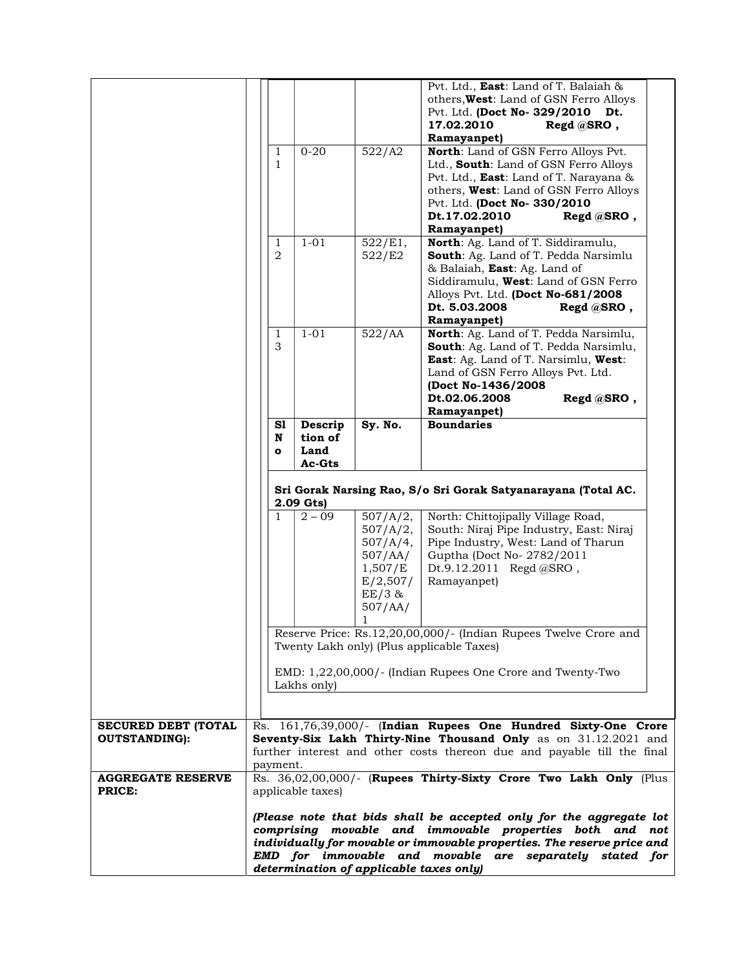|                            |                         |                            |                                                                                           | Pvt. Ltd., East: Land of T. Balaiah &<br>others, West: Land of GSN Ferro Alloys<br>Pvt. Ltd. (Doct No- 329/2010<br>Dt.<br>17.02.2010<br>Regd @SRO,<br>Ramayanpet)                                                                                                     |
|----------------------------|-------------------------|----------------------------|-------------------------------------------------------------------------------------------|-----------------------------------------------------------------------------------------------------------------------------------------------------------------------------------------------------------------------------------------------------------------------|
|                            | 1<br>$\mathbf{1}$       | $0 - 20$                   | 522/A2                                                                                    | North: Land of GSN Ferro Alloys Pvt.<br>Ltd., South: Land of GSN Ferro Alloys<br>Pvt. Ltd., <b>East</b> : Land of T. Narayana &<br>others, West: Land of GSN Ferro Alloys<br>Pvt. Ltd. (Doct No- 330/2010<br>Dt.17.02.2010<br>$Regd$ @SRO,<br>Ramayanpet)             |
|                            | 1<br>2                  | $1 - 01$                   | 522/E1,<br>522/E2                                                                         | North: Ag. Land of T. Siddiramulu,<br>South: Ag. Land of T. Pedda Narsimlu<br>& Balaiah, East: Ag. Land of<br>Siddiramulu, West: Land of GSN Ferro<br>Alloys Pvt. Ltd. (Doct No-681/2008<br>Dt. 5.03.2008<br>Regd @SRO,<br>Ramayanpet)                                |
|                            | $\mathbf{1}$<br>3       | $1 - 01$                   | 522/AA                                                                                    | North: Ag. Land of T. Pedda Narsimlu,<br>South: Ag. Land of T. Pedda Narsimlu,<br>East: Ag. Land of T. Narsimlu, West:<br>Land of GSN Ferro Alloys Pvt. Ltd.<br>(Doct No-1436/2008<br>Dt.02.06.2008<br>Regd @SRO,<br>Ramayanpet)                                      |
|                            | S1<br>N<br>$\mathbf{o}$ | Descrip<br>tion of<br>Land | Sy. No.                                                                                   | <b>Boundaries</b>                                                                                                                                                                                                                                                     |
|                            |                         | Ac-Gts                     |                                                                                           | Sri Gorak Narsing Rao, S/o Sri Gorak Satyanarayana (Total AC.                                                                                                                                                                                                         |
|                            | $\mathbf{1}$            | 2.09 Gts)<br>$2 - 09$      | 507/A/2,<br>507/A/2,<br>507/A/4,<br>507/AA/<br>1,507/E<br>E/2,507/<br>$EE/3$ &<br>507/AA/ | North: Chittojipally Village Road,<br>South: Niraj Pipe Industry, East: Niraj<br>Pipe Industry, West: Land of Tharun<br>Guptha (Doct No-2782/2011<br>Dt.9.12.2011<br>Regd @SRO,<br>Ramayanpet)                                                                        |
|                            |                         |                            | 1                                                                                         | Reserve Price: Rs.12,20,00,000/- (Indian Rupees Twelve Crore and<br>Twenty Lakh only) (Plus applicable Taxes)<br>EMD: 1,22,00,000/- (Indian Rupees One Crore and Twenty-Two                                                                                           |
|                            |                         | Lakhs only)                |                                                                                           |                                                                                                                                                                                                                                                                       |
| <b>SECURED DEBT (TOTAL</b> |                         |                            |                                                                                           | Rs. 161,76,39,000/- (Indian Rupees One Hundred Sixty-One Crore                                                                                                                                                                                                        |
| <b>OUTSTANDING):</b>       |                         |                            |                                                                                           | Seventy-Six Lakh Thirty-Nine Thousand Only as on 31.12.2021 and                                                                                                                                                                                                       |
|                            |                         |                            |                                                                                           | further interest and other costs thereon due and payable till the final                                                                                                                                                                                               |
| <b>AGGREGATE RESERVE</b>   | payment.                |                            |                                                                                           | Rs. 36,02,00,000/- (Rupees Thirty-Sixty Crore Two Lakh Only (Plus                                                                                                                                                                                                     |
| PRICE:                     |                         | applicable taxes)          |                                                                                           |                                                                                                                                                                                                                                                                       |
|                            |                         |                            | determination of applicable taxes only)                                                   | (Please note that bids shall be accepted only for the aggregate lot<br>comprising movable and immovable properties both and not<br>individually for movable or immovable properties. The reserve price and<br>EMD for immovable and movable are separately stated for |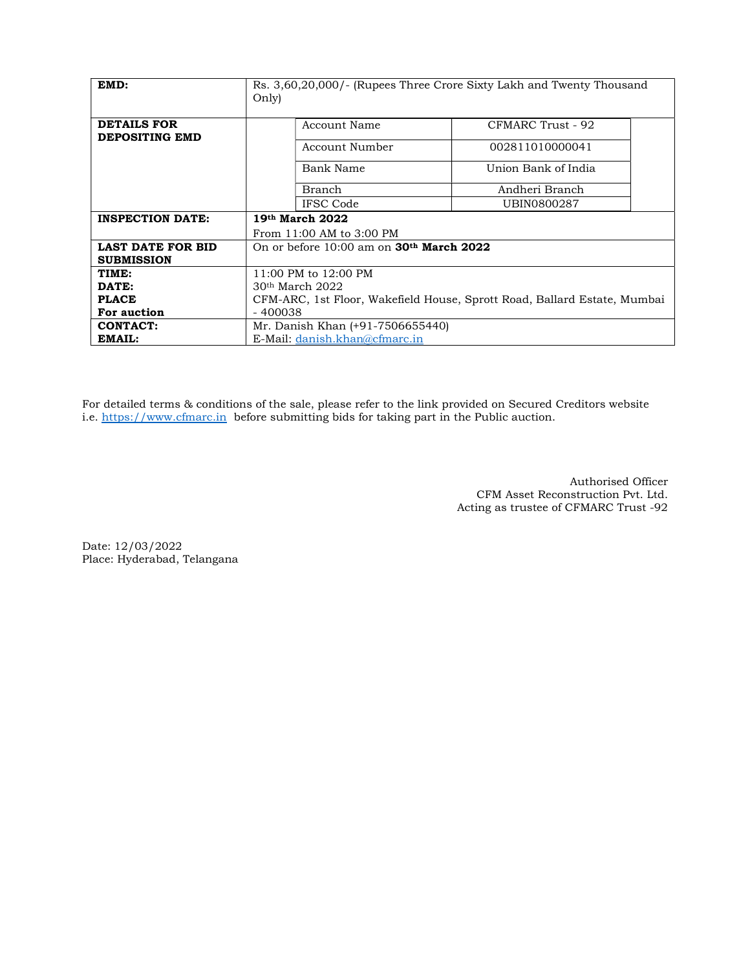| EMD:                                          | Only)                                          | Rs. 3,60,20,000/- (Rupees Three Crore Sixty Lakh and Twenty Thousand     |
|-----------------------------------------------|------------------------------------------------|--------------------------------------------------------------------------|
| <b>DETAILS FOR</b>                            | Account Name                                   | CFMARC Trust - 92                                                        |
| <b>DEPOSITING EMD</b>                         | Account Number                                 | 002811010000041                                                          |
|                                               | Bank Name                                      | Union Bank of India                                                      |
|                                               | Branch                                         | Andheri Branch                                                           |
|                                               | IFSC Code                                      | UBIN0800287                                                              |
| <b>INSPECTION DATE:</b>                       | 19th March 2022                                |                                                                          |
|                                               | From 11:00 AM to 3:00 PM                       |                                                                          |
| <b>LAST DATE FOR BID</b><br><b>SUBMISSION</b> | On or before $10:00$ am on $30th$ March $2022$ |                                                                          |
| TIME:                                         | 11:00 PM to 12:00 PM                           |                                                                          |
| DATE:                                         | $30th$ March $2022$                            |                                                                          |
| <b>PLACE</b>                                  |                                                | CFM-ARC, 1st Floor, Wakefield House, Sprott Road, Ballard Estate, Mumbai |
| For auction                                   | - 400038                                       |                                                                          |
| <b>CONTACT:</b>                               | Mr. Danish Khan (+91-7506655440)               |                                                                          |
| EMAIL:                                        | E-Mail: danish.khan@cfmarc.in                  |                                                                          |

For detailed terms & conditions of the sale, please refer to the link provided on Secured Creditors website i.e. https://www.cfmarc.in before submitting bids for taking part in the Public auction.

> Authorised Officer CFM Asset Reconstruction Pvt. Ltd. Acting as trustee of CFMARC Trust -92

Date: 12/03/2022 Place: Hyderabad, Telangana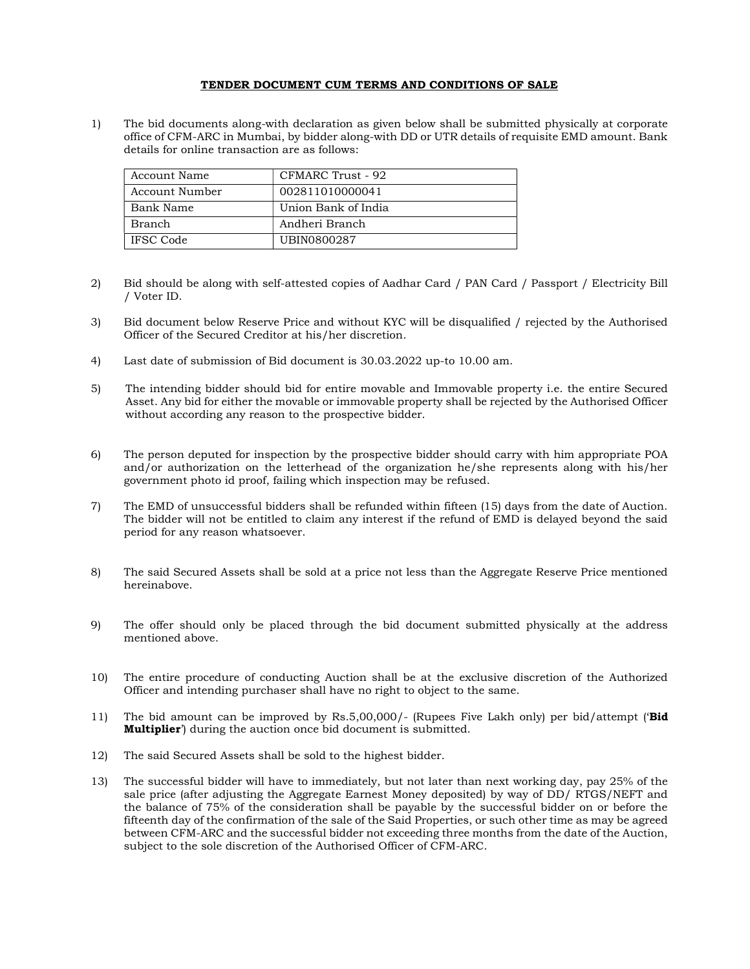#### TENDER DOCUMENT CUM TERMS AND CONDITIONS OF SALE

1) The bid documents along-with declaration as given below shall be submitted physically at corporate office of CFM-ARC in Mumbai, by bidder along-with DD or UTR details of requisite EMD amount. Bank details for online transaction are as follows:

| Account Name     | CFMARC Trust - 92   |
|------------------|---------------------|
| Account Number   | 002811010000041     |
| Bank Name        | Union Bank of India |
| Branch           | Andheri Branch      |
| <b>IFSC</b> Code | UBIN0800287         |

- 2) Bid should be along with self-attested copies of Aadhar Card / PAN Card / Passport / Electricity Bill / Voter ID.
- 3) Bid document below Reserve Price and without KYC will be disqualified / rejected by the Authorised Officer of the Secured Creditor at his/her discretion.
- 4) Last date of submission of Bid document is 30.03.2022 up-to 10.00 am.
- 5) The intending bidder should bid for entire movable and Immovable property i.e. the entire Secured Asset. Any bid for either the movable or immovable property shall be rejected by the Authorised Officer without according any reason to the prospective bidder.
- 6) The person deputed for inspection by the prospective bidder should carry with him appropriate POA and/or authorization on the letterhead of the organization he/she represents along with his/her government photo id proof, failing which inspection may be refused.
- 7) The EMD of unsuccessful bidders shall be refunded within fifteen (15) days from the date of Auction. The bidder will not be entitled to claim any interest if the refund of EMD is delayed beyond the said period for any reason whatsoever.
- 8) The said Secured Assets shall be sold at a price not less than the Aggregate Reserve Price mentioned hereinabove.
- 9) The offer should only be placed through the bid document submitted physically at the address mentioned above.
- 10) The entire procedure of conducting Auction shall be at the exclusive discretion of the Authorized Officer and intending purchaser shall have no right to object to the same.
- 11) The bid amount can be improved by Rs.5,00,000/- (Rupees Five Lakh only) per bid/attempt ("Bid") **Multiplier**') during the auction once bid document is submitted.
- 12) The said Secured Assets shall be sold to the highest bidder.
- 13) The successful bidder will have to immediately, but not later than next working day, pay 25% of the sale price (after adjusting the Aggregate Earnest Money deposited) by way of DD/ RTGS/NEFT and the balance of 75% of the consideration shall be payable by the successful bidder on or before the fifteenth day of the confirmation of the sale of the Said Properties, or such other time as may be agreed between CFM-ARC and the successful bidder not exceeding three months from the date of the Auction, subject to the sole discretion of the Authorised Officer of CFM-ARC.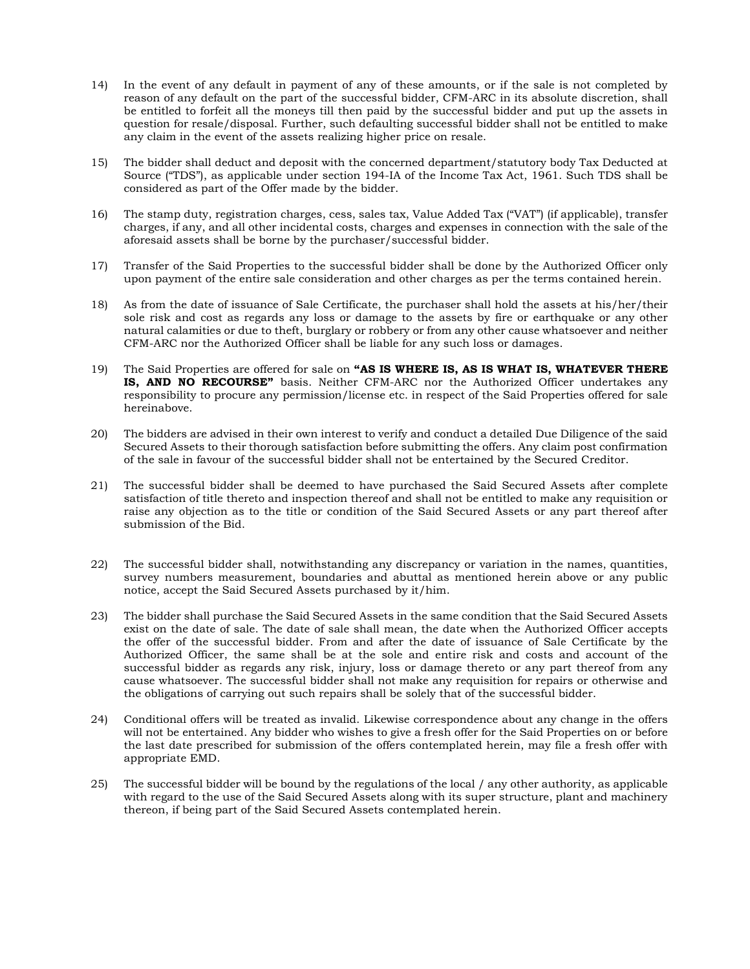- 14) In the event of any default in payment of any of these amounts, or if the sale is not completed by reason of any default on the part of the successful bidder, CFM-ARC in its absolute discretion, shall be entitled to forfeit all the moneys till then paid by the successful bidder and put up the assets in question for resale/disposal. Further, such defaulting successful bidder shall not be entitled to make any claim in the event of the assets realizing higher price on resale.
- 15) The bidder shall deduct and deposit with the concerned department/statutory body Tax Deducted at Source ("TDS"), as applicable under section 194-IA of the Income Tax Act, 1961. Such TDS shall be considered as part of the Offer made by the bidder.
- 16) The stamp duty, registration charges, cess, sales tax, Value Added Tax ("VAT") (if applicable), transfer charges, if any, and all other incidental costs, charges and expenses in connection with the sale of the aforesaid assets shall be borne by the purchaser/successful bidder.
- 17) Transfer of the Said Properties to the successful bidder shall be done by the Authorized Officer only upon payment of the entire sale consideration and other charges as per the terms contained herein.
- 18) As from the date of issuance of Sale Certificate, the purchaser shall hold the assets at his/her/their sole risk and cost as regards any loss or damage to the assets by fire or earthquake or any other natural calamities or due to theft, burglary or robbery or from any other cause whatsoever and neither CFM-ARC nor the Authorized Officer shall be liable for any such loss or damages.
- 19) The Said Properties are offered for sale on "AS IS WHERE IS, AS IS WHAT IS, WHATEVER THERE IS, AND NO RECOURSE" basis. Neither CFM-ARC nor the Authorized Officer undertakes any responsibility to procure any permission/license etc. in respect of the Said Properties offered for sale hereinabove.
- 20) The bidders are advised in their own interest to verify and conduct a detailed Due Diligence of the said Secured Assets to their thorough satisfaction before submitting the offers. Any claim post confirmation of the sale in favour of the successful bidder shall not be entertained by the Secured Creditor.
- 21) The successful bidder shall be deemed to have purchased the Said Secured Assets after complete satisfaction of title thereto and inspection thereof and shall not be entitled to make any requisition or raise any objection as to the title or condition of the Said Secured Assets or any part thereof after submission of the Bid.
- 22) The successful bidder shall, notwithstanding any discrepancy or variation in the names, quantities, survey numbers measurement, boundaries and abuttal as mentioned herein above or any public notice, accept the Said Secured Assets purchased by it/him.
- 23) The bidder shall purchase the Said Secured Assets in the same condition that the Said Secured Assets exist on the date of sale. The date of sale shall mean, the date when the Authorized Officer accepts the offer of the successful bidder. From and after the date of issuance of Sale Certificate by the Authorized Officer, the same shall be at the sole and entire risk and costs and account of the successful bidder as regards any risk, injury, loss or damage thereto or any part thereof from any cause whatsoever. The successful bidder shall not make any requisition for repairs or otherwise and the obligations of carrying out such repairs shall be solely that of the successful bidder.
- 24) Conditional offers will be treated as invalid. Likewise correspondence about any change in the offers will not be entertained. Any bidder who wishes to give a fresh offer for the Said Properties on or before the last date prescribed for submission of the offers contemplated herein, may file a fresh offer with appropriate EMD.
- 25) The successful bidder will be bound by the regulations of the local / any other authority, as applicable with regard to the use of the Said Secured Assets along with its super structure, plant and machinery thereon, if being part of the Said Secured Assets contemplated herein.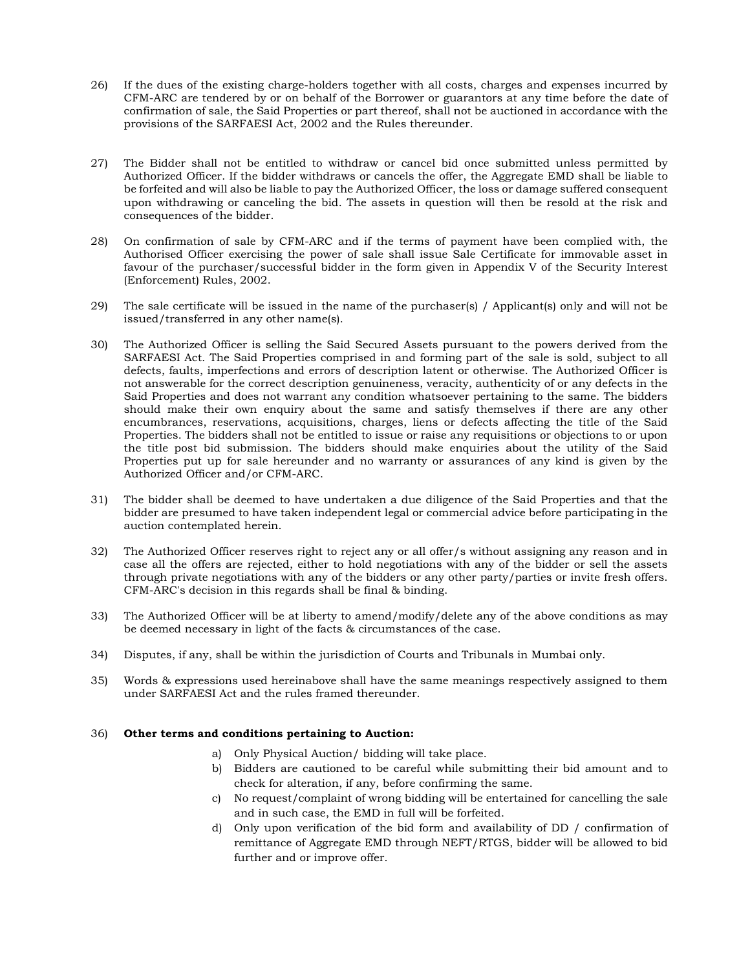- 26) If the dues of the existing charge-holders together with all costs, charges and expenses incurred by CFM-ARC are tendered by or on behalf of the Borrower or guarantors at any time before the date of confirmation of sale, the Said Properties or part thereof, shall not be auctioned in accordance with the provisions of the SARFAESI Act, 2002 and the Rules thereunder.
- 27) The Bidder shall not be entitled to withdraw or cancel bid once submitted unless permitted by Authorized Officer. If the bidder withdraws or cancels the offer, the Aggregate EMD shall be liable to be forfeited and will also be liable to pay the Authorized Officer, the loss or damage suffered consequent upon withdrawing or canceling the bid. The assets in question will then be resold at the risk and consequences of the bidder.
- 28) On confirmation of sale by CFM-ARC and if the terms of payment have been complied with, the Authorised Officer exercising the power of sale shall issue Sale Certificate for immovable asset in favour of the purchaser/successful bidder in the form given in Appendix V of the Security Interest (Enforcement) Rules, 2002.
- 29) The sale certificate will be issued in the name of the purchaser(s) / Applicant(s) only and will not be issued/transferred in any other name(s).
- 30) The Authorized Officer is selling the Said Secured Assets pursuant to the powers derived from the SARFAESI Act. The Said Properties comprised in and forming part of the sale is sold, subject to all defects, faults, imperfections and errors of description latent or otherwise. The Authorized Officer is not answerable for the correct description genuineness, veracity, authenticity of or any defects in the Said Properties and does not warrant any condition whatsoever pertaining to the same. The bidders should make their own enquiry about the same and satisfy themselves if there are any other encumbrances, reservations, acquisitions, charges, liens or defects affecting the title of the Said Properties. The bidders shall not be entitled to issue or raise any requisitions or objections to or upon the title post bid submission. The bidders should make enquiries about the utility of the Said Properties put up for sale hereunder and no warranty or assurances of any kind is given by the Authorized Officer and/or CFM-ARC.
- 31) The bidder shall be deemed to have undertaken a due diligence of the Said Properties and that the bidder are presumed to have taken independent legal or commercial advice before participating in the auction contemplated herein.
- 32) The Authorized Officer reserves right to reject any or all offer/s without assigning any reason and in case all the offers are rejected, either to hold negotiations with any of the bidder or sell the assets through private negotiations with any of the bidders or any other party/parties or invite fresh offers. CFM-ARC's decision in this regards shall be final & binding.
- 33) The Authorized Officer will be at liberty to amend/modify/delete any of the above conditions as may be deemed necessary in light of the facts & circumstances of the case.
- 34) Disputes, if any, shall be within the jurisdiction of Courts and Tribunals in Mumbai only.
- 35) Words & expressions used hereinabove shall have the same meanings respectively assigned to them under SARFAESI Act and the rules framed thereunder.

### 36) Other terms and conditions pertaining to Auction:

- a) Only Physical Auction/ bidding will take place.
- b) Bidders are cautioned to be careful while submitting their bid amount and to check for alteration, if any, before confirming the same.
- c) No request/complaint of wrong bidding will be entertained for cancelling the sale and in such case, the EMD in full will be forfeited.
- d) Only upon verification of the bid form and availability of DD / confirmation of remittance of Aggregate EMD through NEFT/RTGS, bidder will be allowed to bid further and or improve offer.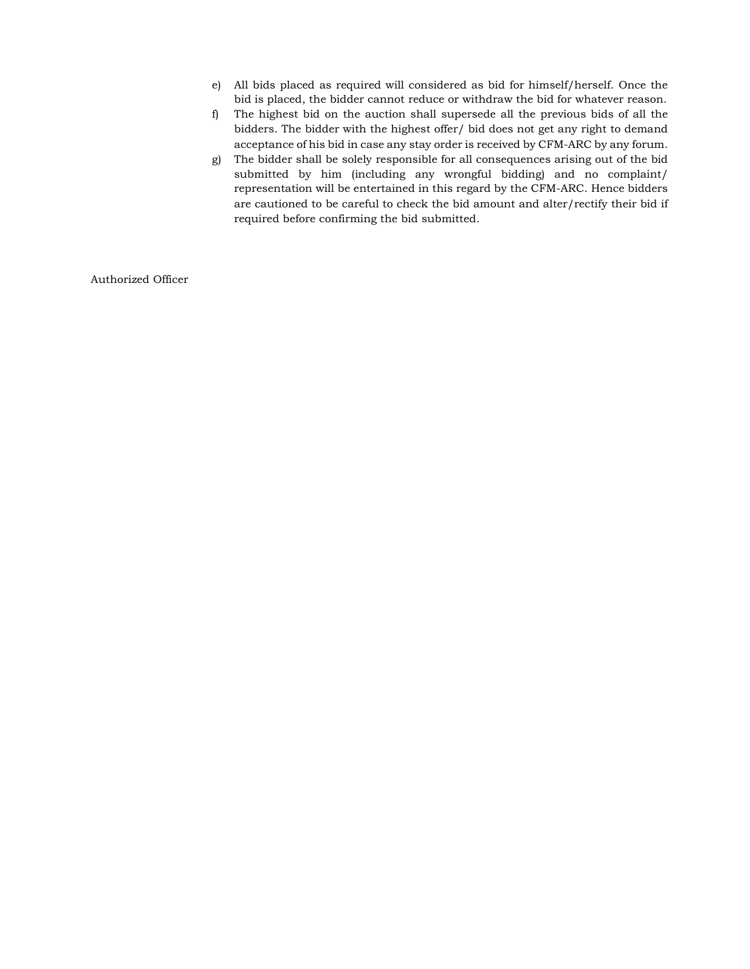- e) All bids placed as required will considered as bid for himself/herself. Once the bid is placed, the bidder cannot reduce or withdraw the bid for whatever reason.
- f) The highest bid on the auction shall supersede all the previous bids of all the bidders. The bidder with the highest offer/ bid does not get any right to demand acceptance of his bid in case any stay order is received by CFM-ARC by any forum.
- g) The bidder shall be solely responsible for all consequences arising out of the bid submitted by him (including any wrongful bidding) and no complaint/ representation will be entertained in this regard by the CFM-ARC. Hence bidders are cautioned to be careful to check the bid amount and alter/rectify their bid if required before confirming the bid submitted.

Authorized Officer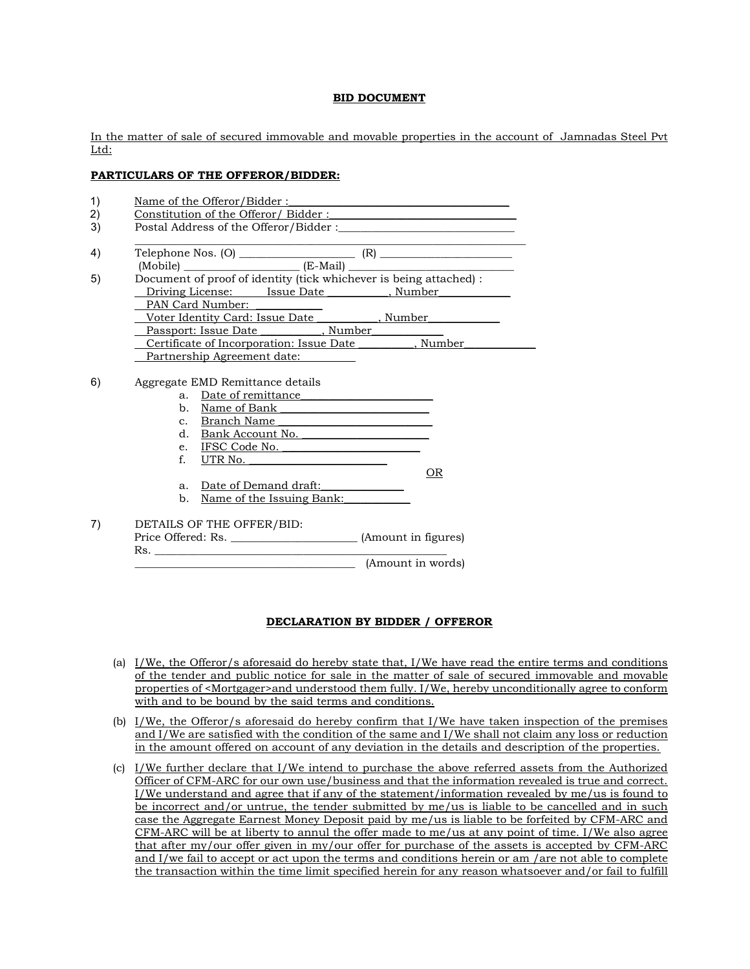### BID DOCUMENT

In the matter of sale of secured immovable and movable properties in the account of Jamnadas Steel Pvt Ltd:

## PARTICULARS OF THE OFFEROR/BIDDER:

|             |                           | Postal Address of the Offeror/Bidder :                                                                                                                                                                                                                                                                                                                                                                                                                                                                    |     |
|-------------|---------------------------|-----------------------------------------------------------------------------------------------------------------------------------------------------------------------------------------------------------------------------------------------------------------------------------------------------------------------------------------------------------------------------------------------------------------------------------------------------------------------------------------------------------|-----|
|             |                           | $\begin{tabular}{l c c} \hline \multicolumn{3}{c }{\text{Reference Nos. (O)}} & \multicolumn{3}{c }{\text{Nobile}} & \multicolumn{3}{c }{\text{(R)}} \\ \multicolumn{3}{c }{\text{(Mobile)}} & \multicolumn{3}{c }{\text{(E-Mail)}} & \multicolumn{3}{c }{\text{(C)}} \\ \multicolumn{3}{c }{\text{(Mobile)}} & \multicolumn{3}{c }{\text{(E-Mail)}} & \multicolumn{3}{c }{\text{(E-Mail)}} \\ \multicolumn{3}{c }{\text{(E-Mail)}} & \multicolumn{3}{c }{\text{(E-Mail)}} & \multicolumn{3}{c }{\text{($ |     |
|             |                           |                                                                                                                                                                                                                                                                                                                                                                                                                                                                                                           |     |
|             |                           | Document of proof of identity (tick whichever is being attached) :                                                                                                                                                                                                                                                                                                                                                                                                                                        |     |
|             |                           | Driving License: Issue Date , Number                                                                                                                                                                                                                                                                                                                                                                                                                                                                      |     |
|             | PAN Card Number:          |                                                                                                                                                                                                                                                                                                                                                                                                                                                                                                           |     |
|             |                           | Voter Identity Card: Issue Date __________, Number                                                                                                                                                                                                                                                                                                                                                                                                                                                        |     |
|             |                           | Passport: Issue Date ____________, Number_________                                                                                                                                                                                                                                                                                                                                                                                                                                                        |     |
|             |                           | Certificate of Incorporation: Issue Date ________, Number_<br>Partnership Agreement date:                                                                                                                                                                                                                                                                                                                                                                                                                 |     |
|             |                           |                                                                                                                                                                                                                                                                                                                                                                                                                                                                                                           |     |
|             |                           |                                                                                                                                                                                                                                                                                                                                                                                                                                                                                                           |     |
|             |                           | Aggregate EMD Remittance details                                                                                                                                                                                                                                                                                                                                                                                                                                                                          |     |
|             | a. Date of remittance     |                                                                                                                                                                                                                                                                                                                                                                                                                                                                                                           |     |
|             |                           | b. Name of Bank                                                                                                                                                                                                                                                                                                                                                                                                                                                                                           |     |
|             |                           | c. Branch Name                                                                                                                                                                                                                                                                                                                                                                                                                                                                                            |     |
|             |                           | d. Bank Account No.                                                                                                                                                                                                                                                                                                                                                                                                                                                                                       |     |
|             |                           | e. IFSC Code No.                                                                                                                                                                                                                                                                                                                                                                                                                                                                                          |     |
| $f_{\cdot}$ |                           | UTR No.                                                                                                                                                                                                                                                                                                                                                                                                                                                                                                   |     |
|             |                           |                                                                                                                                                                                                                                                                                                                                                                                                                                                                                                           | OR. |
| a.          |                           | Date of Demand draft:                                                                                                                                                                                                                                                                                                                                                                                                                                                                                     |     |
| b.          |                           | Name of the Issuing Bank:                                                                                                                                                                                                                                                                                                                                                                                                                                                                                 |     |
|             | DETAILS OF THE OFFER/BID: |                                                                                                                                                                                                                                                                                                                                                                                                                                                                                                           |     |

# DECLARATION BY BIDDER / OFFEROR

- (a) I/We, the Offeror/s aforesaid do hereby state that, I/We have read the entire terms and conditions of the tender and public notice for sale in the matter of sale of secured immovable and movable properties of <Mortgager>and understood them fully. I/We, hereby unconditionally agree to conform with and to be bound by the said terms and conditions.
- (b)  $I/We$ , the Offeror/s aforesaid do hereby confirm that  $I/We$  have taken inspection of the premises and I/We are satisfied with the condition of the same and I/We shall not claim any loss or reduction in the amount offered on account of any deviation in the details and description of the properties.
- (c) I/We further declare that I/We intend to purchase the above referred assets from the Authorized Officer of CFM-ARC for our own use/business and that the information revealed is true and correct. I/We understand and agree that if any of the statement/information revealed by me/us is found to be incorrect and/or untrue, the tender submitted by me/us is liable to be cancelled and in such case the Aggregate Earnest Money Deposit paid by me/us is liable to be forfeited by CFM-ARC and  $CFM-ARC$  will be at liberty to annul the offer made to me/us at any point of time. I/We also agree that after my/our offer given in my/our offer for purchase of the assets is accepted by CFM-ARC and I/we fail to accept or act upon the terms and conditions herein or am /are not able to complete the transaction within the time limit specified herein for any reason whatsoever and/or fail to fulfill